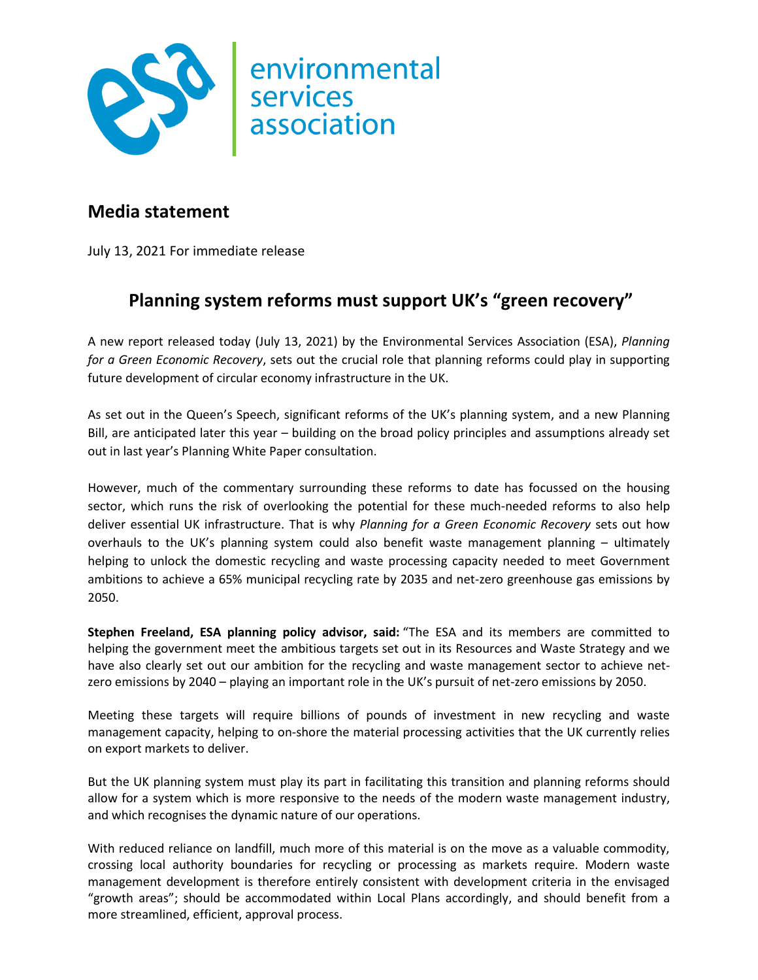

## **Media statement**

July 13, 2021 For immediate release

## **Planning system reforms must support UK's "green recovery"**

A new report released today (July 13, 2021) by the Environmental Services Association (ESA), *Planning for a Green Economic Recovery*, sets out the crucial role that planning reforms could play in supporting future development of circular economy infrastructure in the UK.

As set out in the Queen's Speech, significant reforms of the UK's planning system, and a new Planning Bill, are anticipated later this year – building on the broad policy principles and assumptions already set out in last year's Planning White Paper consultation.

However, much of the commentary surrounding these reforms to date has focussed on the housing sector, which runs the risk of overlooking the potential for these much-needed reforms to also help deliver essential UK infrastructure. That is why *Planning for a Green Economic Recovery* sets out how overhauls to the UK's planning system could also benefit waste management planning – ultimately helping to unlock the domestic recycling and waste processing capacity needed to meet Government ambitions to achieve a 65% municipal recycling rate by 2035 and net-zero greenhouse gas emissions by 2050.

**Stephen Freeland, ESA planning policy advisor, said:** "The ESA and its members are committed to helping the government meet the ambitious targets set out in its Resources and Waste Strategy and we have also clearly set out our ambition for the recycling and waste management sector to achieve netzero emissions by 2040 – playing an important role in the UK's pursuit of net-zero emissions by 2050.

Meeting these targets will require billions of pounds of investment in new recycling and waste management capacity, helping to on-shore the material processing activities that the UK currently relies on export markets to deliver.

But the UK planning system must play its part in facilitating this transition and planning reforms should allow for a system which is more responsive to the needs of the modern waste management industry, and which recognises the dynamic nature of our operations.

With reduced reliance on landfill, much more of this material is on the move as a valuable commodity, crossing local authority boundaries for recycling or processing as markets require. Modern waste management development is therefore entirely consistent with development criteria in the envisaged "growth areas"; should be accommodated within Local Plans accordingly, and should benefit from a more streamlined, efficient, approval process.